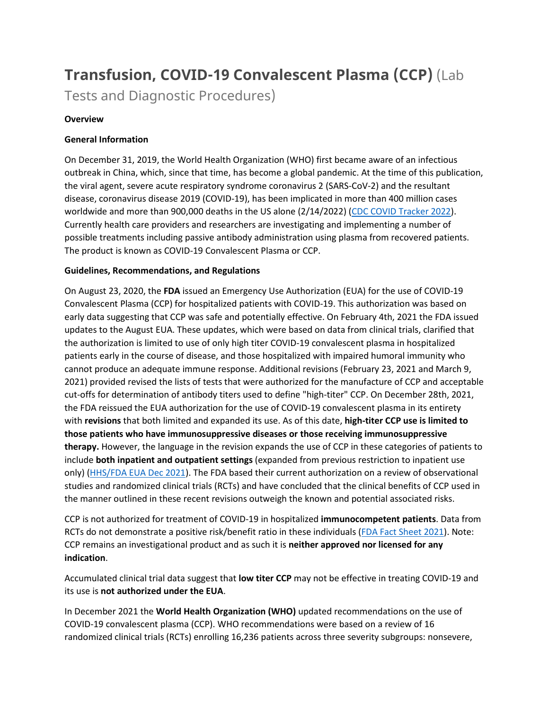# **Transfusion, COVID-19 Convalescent Plasma (CCP)** (Lab

Tests and Diagnostic Procedures)

# **Overview**

# **General Information**

On December 31, 2019, the World Health Organization (WHO) first became aware of an infectious outbreak in China, which, since that time, has become a global pandemic. At the time of this publication, the viral agent, severe acute respiratory syndrome coronavirus 2 (SARS-CoV-2) and the resultant disease, coronavirus disease 2019 (COVID-19), has been implicated in more than 400 million cases worldwide and more than 900,000 deaths in the US alone (2/14/2022) [\(CDC COVID Tracker 2022\)](https://covid.cdc.gov/covid-data-tracker/#trends_dailytrendsdeaths). Currently health care providers and researchers are investigating and implementing a number of possible treatments including passive antibody administration using plasma from recovered patients. The product is known as COVID-19 Convalescent Plasma or CCP.

# **Guidelines, Recommendations, and Regulations**

On August 23, 2020, the **FDA** issued an Emergency Use Authorization (EUA) for the use of COVID-19 Convalescent Plasma (CCP) for hospitalized patients with COVID-19. This authorization was based on early data suggesting that CCP was safe and potentially effective. On February 4th, 2021 the FDA issued updates to the August EUA. These updates, which were based on data from clinical trials, clarified that the authorization is limited to use of only high titer COVID-19 convalescent plasma in hospitalized patients early in the course of disease, and those hospitalized with impaired humoral immunity who cannot produce an adequate immune response. Additional revisions (February 23, 2021 and March 9, 2021) provided revised the lists of tests that were authorized for the manufacture of CCP and acceptable cut-offs for determination of antibody titers used to define "high-titer" CCP. On December 28th, 2021, the FDA reissued the EUA authorization for the use of COVID-19 convalescent plasma in its entirety with **revisions** that both limited and expanded its use. As of this date, **high-titer CCP use is limited to those patients who have immunosuppressive diseases or those receiving immunosuppressive therapy.** However, the language in the revision expands the use of CCP in these categories of patients to include **both inpatient and outpatient settings** (expanded from previous restriction to inpatient use only) [\(HHS/FDA EUA Dec 2021\)](https://www.fda.gov/media/141477/download). The FDA based their current authorization on a review of observational studies and randomized clinical trials (RCTs) and have concluded that the clinical benefits of CCP used in the manner outlined in these recent revisions outweigh the known and potential associated risks.

CCP is not authorized for treatment of COVID-19 in hospitalized **immunocompetent patients**. Data from RCTs do not demonstrate a positive risk/benefit ratio in these individuals [\(FDA Fact Sheet 2021\)](https://www.fda.gov/media/141478/download). Note: CCP remains an investigational product and as such it is **neither approved nor licensed for any indication**.

Accumulated clinical trial data suggest that **low titer CCP** may not be effective in treating COVID-19 and its use is **not authorized under the EUA**.

In December 2021 the **World Health Organization (WHO)** updated recommendations on the use of COVID-19 convalescent plasma (CCP). WHO recommendations were based on a review of 16 randomized clinical trials (RCTs) enrolling 16,236 patients across three severity subgroups: nonsevere,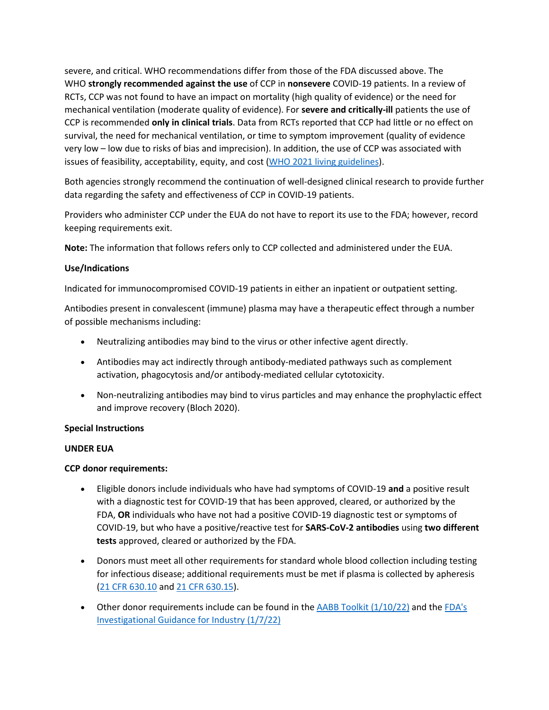severe, and critical. WHO recommendations differ from those of the FDA discussed above. The WHO **strongly recommended against the use** of CCP in **nonsevere** COVID-19 patients. In a review of RCTs, CCP was not found to have an impact on mortality (high quality of evidence) or the need for mechanical ventilation (moderate quality of evidence). For **severe and critically-ill** patients the use of CCP is recommended **only in clinical trials**. Data from RCTs reported that CCP had little or no effect on survival, the need for mechanical ventilation, or time to symptom improvement (quality of evidence very low – low due to risks of bias and imprecision). In addition, the use of CCP was associated with issues of feasibility, acceptability, equity, and cost [\(WHO 2021 living guidelines\)](https://www.who.int/publications/i/item/WHO-2019-nCoV-therapeutics-2021.4).

Both agencies strongly recommend the continuation of well-designed clinical research to provide further data regarding the safety and effectiveness of CCP in COVID-19 patients.

Providers who administer CCP under the EUA do not have to report its use to the FDA; however, record keeping requirements exit.

**Note:** The information that follows refers only to CCP collected and administered under the EUA.

## **Use/Indications**

Indicated for immunocompromised COVID-19 patients in either an inpatient or outpatient setting.

Antibodies present in convalescent (immune) plasma may have a therapeutic effect through a number of possible mechanisms including:

- Neutralizing antibodies may bind to the virus or other infective agent directly.
- Antibodies may act indirectly through antibody-mediated pathways such as complement activation, phagocytosis and/or antibody-mediated cellular cytotoxicity.
- Non-neutralizing antibodies may bind to virus particles and may enhance the prophylactic effect and improve recovery (Bloch 2020).

## **Special Instructions**

## **UNDER EUA**

## **CCP donor requirements:**

- Eligible donors include individuals who have had symptoms of COVID-19 **and** a positive result with a diagnostic test for COVID-19 that has been approved, cleared, or authorized by the FDA, **OR** individuals who have not had a positive COVID-19 diagnostic test or symptoms of COVID-19, but who have a positive/reactive test for **SARS-CoV-2 antibodies** using **two different tests** approved, cleared or authorized by the FDA.
- Donors must meet all other requirements for standard whole blood collection including testing for infectious disease; additional requirements must be met if plasma is collected by apheresis [\(21 CFR 630.10](https://www.accessdata.fda.gov/scripts/cdrh/cfdocs/cfcfr/CFRSearch.cfm?fr=630.10) and [21 CFR 630.15\)](https://www.accessdata.fda.gov/scripts/cdrh/cfdocs/cfcfr/CFRSearch.cfm?fr=630.15).
- Other donor requirements include can be found in the AABB Toolkit  $(1/10/22)$  and the FDA's [Investigational Guidance for Industry \(1/7/22\)](https://www.fda.gov/media/136798/download)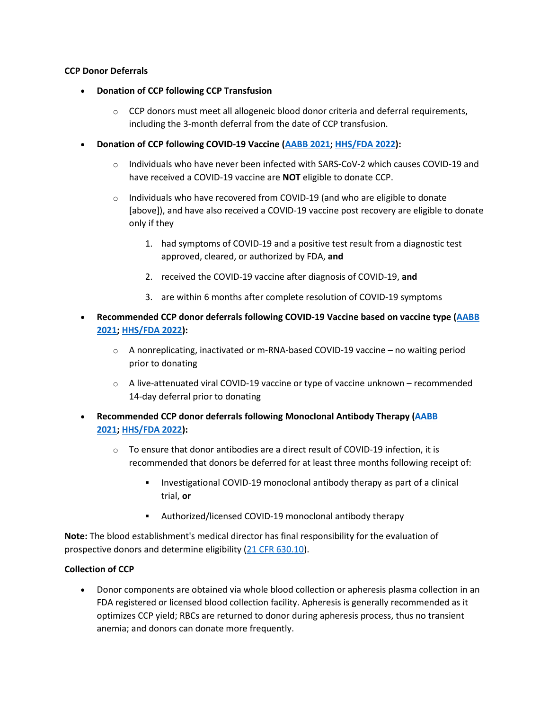#### **CCP Donor Deferrals**

- **Donation of CCP following CCP Transfusion**
	- $\circ$  CCP donors must meet all allogeneic blood donor criteria and deferral requirements, including the 3-month deferral from the date of CCP transfusion.
- **Donation of CCP following COVID-19 Vaccine [\(AABB 2021;](https://www.aabb.org/docs/default-source/default-document-library/regulatory/summary-of-blood-donor-deferral-following-covid-19-vaccine-and-ccp-transfusion.pdf?sfvrsn=91eddb5d_0) [HHS/FDA 2022\)](https://www.fda.gov/media/136798/download):**
	- $\circ$  Individuals who have never been infected with SARS-CoV-2 which causes COVID-19 and have received a COVID-19 vaccine are **NOT** eligible to donate CCP.
	- $\circ$  Individuals who have recovered from COVID-19 (and who are eligible to donate [above]), and have also received a COVID-19 vaccine post recovery are eligible to donate only if they
		- 1. had symptoms of COVID-19 and a positive test result from a diagnostic test approved, cleared, or authorized by FDA, **and**
		- 2. received the COVID-19 vaccine after diagnosis of COVID-19, **and**
		- 3. are within 6 months after complete resolution of COVID-19 symptoms
- **Recommended CCP donor deferrals following COVID-19 Vaccine based on vaccine type [\(AABB](https://www.aabb.org/docs/default-source/default-document-library/regulatory/summary-of-blood-donor-deferral-following-covid-19-vaccine-and-ccp-transfusion.pdf?sfvrsn=91eddb5d_0)  [2021;](https://www.aabb.org/docs/default-source/default-document-library/regulatory/summary-of-blood-donor-deferral-following-covid-19-vaccine-and-ccp-transfusion.pdf?sfvrsn=91eddb5d_0) [HHS/FDA 2022\)](https://www.fda.gov/media/136798/download):**
	- o A nonreplicating, inactivated or m-RNA-based COVID-19 vaccine no waiting period prior to donating
	- $\circ$  A live-attenuated viral COVID-19 vaccine or type of vaccine unknown recommended 14-day deferral prior to donating
- **Recommended CCP donor deferrals following Monoclonal Antibody Therapy [\(AABB](https://www.aabb.org/docs/default-source/default-document-library/regulatory/summary-of-blood-donor-deferral-following-covid-19-vaccine-and-ccp-transfusion.pdf?sfvrsn=91eddb5d_0)  [2021;](https://www.aabb.org/docs/default-source/default-document-library/regulatory/summary-of-blood-donor-deferral-following-covid-19-vaccine-and-ccp-transfusion.pdf?sfvrsn=91eddb5d_0) [HHS/FDA 2022\)](https://www.fda.gov/media/136798/download):**
	- $\circ$  To ensure that donor antibodies are a direct result of COVID-19 infection, it is recommended that donors be deferred for at least three months following receipt of:
		- Investigational COVID-19 monoclonal antibody therapy as part of a clinical trial, **or**
		- Authorized/licensed COVID-19 monoclonal antibody therapy

**Note:** The blood establishment's medical director has final responsibility for the evaluation of prospective donors and determine eligibility [\(21 CFR 630.10\)](https://www.accessdata.fda.gov/scripts/cdrh/cfdocs/cfcfr/CFRSearch.cfm?fr=630.10).

## **Collection of CCP**

• Donor components are obtained via whole blood collection or apheresis plasma collection in an FDA registered or licensed blood collection facility. Apheresis is generally recommended as it optimizes CCP yield; RBCs are returned to donor during apheresis process, thus no transient anemia; and donors can donate more frequently.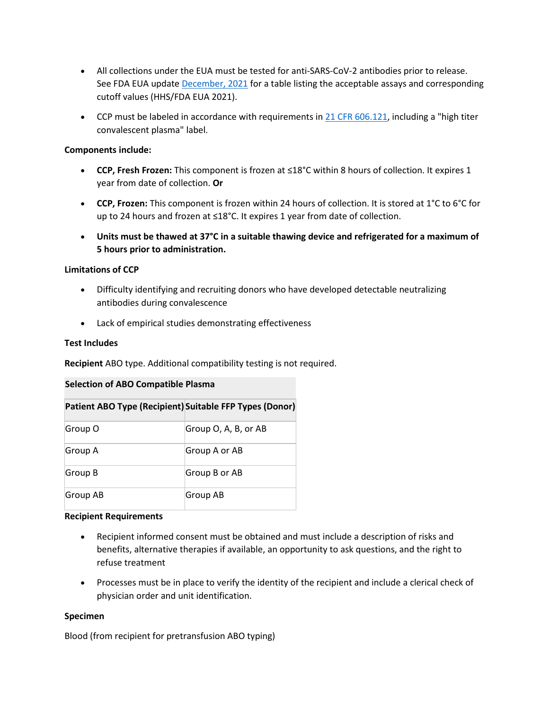- All collections under the EUA must be tested for anti-SARS-CoV-2 antibodies prior to release. See FDA EUA update [December, 2021](https://www.fda.gov/media/141477/download) for a table listing the acceptable assays and corresponding cutoff values (HHS/FDA EUA 2021).
- CCP must be labeled in accordance with requirements in  $21$  CFR 606.121, including a "high titer convalescent plasma" label.

## **Components include:**

- **CCP, Fresh Frozen:** This component is frozen at ≤18°C within 8 hours of collection. It expires 1 year from date of collection. **Or**
- **CCP, Frozen:** This component is frozen within 24 hours of collection. It is stored at 1°C to 6°C for up to 24 hours and frozen at ≤18°C. It expires 1 year from date of collection.
- **Units must be thawed at 37°C in a suitable thawing device and refrigerated for a maximum of 5 hours prior to administration.**

## **Limitations of CCP**

- Difficulty identifying and recruiting donors who have developed detectable neutralizing antibodies during convalescence
- Lack of empirical studies demonstrating effectiveness

## **Test Includes**

**Recipient** ABO type. Additional compatibility testing is not required.

## **Selection of ABO Compatible Plasma**

| Patient ABO Type (Recipient) Suitable FFP Types (Donor) |                      |
|---------------------------------------------------------|----------------------|
| Group O                                                 | Group O, A, B, or AB |
| Group A                                                 | Group A or AB        |
| Group B                                                 | Group B or AB        |
| Group AB                                                | Group AB             |

## **Recipient Requirements**

- Recipient informed consent must be obtained and must include a description of risks and benefits, alternative therapies if available, an opportunity to ask questions, and the right to refuse treatment
- Processes must be in place to verify the identity of the recipient and include a clerical check of physician order and unit identification.

## **Specimen**

Blood (from recipient for pretransfusion ABO typing)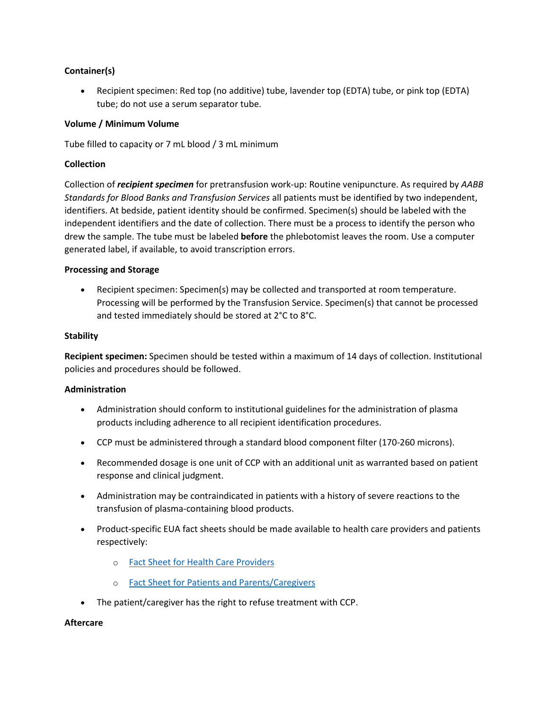## **Container(s)**

• Recipient specimen: Red top (no additive) tube, lavender top (EDTA) tube, or pink top (EDTA) tube; do not use a serum separator tube.

## **Volume / Minimum Volume**

Tube filled to capacity or 7 mL blood / 3 mL minimum

#### **Collection**

Collection of *recipient specimen* for pretransfusion work-up: Routine venipuncture. As required by *AABB Standards for Blood Banks and Transfusion Services* all patients must be identified by two independent, identifiers. At bedside, patient identity should be confirmed. Specimen(s) should be labeled with the independent identifiers and the date of collection. There must be a process to identify the person who drew the sample. The tube must be labeled **before** the phlebotomist leaves the room. Use a computer generated label, if available, to avoid transcription errors.

#### **Processing and Storage**

• Recipient specimen: Specimen(s) may be collected and transported at room temperature. Processing will be performed by the Transfusion Service. Specimen(s) that cannot be processed and tested immediately should be stored at 2°C to 8°C.

#### **Stability**

**Recipient specimen:** Specimen should be tested within a maximum of 14 days of collection. Institutional policies and procedures should be followed.

## **Administration**

- Administration should conform to institutional guidelines for the administration of plasma products including adherence to all recipient identification procedures.
- CCP must be administered through a standard blood component filter (170-260 microns).
- Recommended dosage is one unit of CCP with an additional unit as warranted based on patient response and clinical judgment.
- Administration may be contraindicated in patients with a history of severe reactions to the transfusion of plasma-containing blood products.
- Product-specific EUA fact sheets should be made available to health care providers and patients respectively:
	- o [Fact Sheet for Health Care Providers](https://www.fda.gov/media/141478/download)
	- o [Fact Sheet for Patients and Parents/Caregivers](https://www.fda.gov/media/141479/download)
- The patient/caregiver has the right to refuse treatment with CCP.

#### **Aftercare**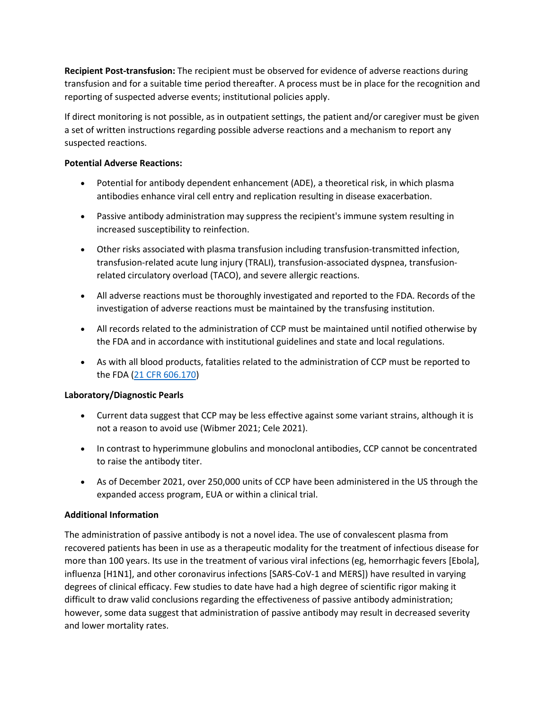**Recipient Post-transfusion:** The recipient must be observed for evidence of adverse reactions during transfusion and for a suitable time period thereafter. A process must be in place for the recognition and reporting of suspected adverse events; institutional policies apply.

If direct monitoring is not possible, as in outpatient settings, the patient and/or caregiver must be given a set of written instructions regarding possible adverse reactions and a mechanism to report any suspected reactions.

## **Potential Adverse Reactions:**

- Potential for antibody dependent enhancement (ADE), a theoretical risk, in which plasma antibodies enhance viral cell entry and replication resulting in disease exacerbation.
- Passive antibody administration may suppress the recipient's immune system resulting in increased susceptibility to reinfection.
- Other risks associated with plasma transfusion including transfusion-transmitted infection, transfusion-related acute lung injury (TRALI), transfusion-associated dyspnea, transfusionrelated circulatory overload (TACO), and severe allergic reactions.
- All adverse reactions must be thoroughly investigated and reported to the FDA. Records of the investigation of adverse reactions must be maintained by the transfusing institution.
- All records related to the administration of CCP must be maintained until notified otherwise by the FDA and in accordance with institutional guidelines and state and local regulations.
- As with all blood products, fatalities related to the administration of CCP must be reported to the FDA [\(21 CFR 606.170\)](https://www.accessdata.fda.gov/scripts/cdrh/cfdocs/cfcfr/CFRSearch.cfm?fr=606.170)

# **Laboratory/Diagnostic Pearls**

- Current data suggest that CCP may be less effective against some variant strains, although it is not a reason to avoid use (Wibmer 2021; Cele 2021).
- In contrast to hyperimmune globulins and monoclonal antibodies, CCP cannot be concentrated to raise the antibody titer.
- As of December 2021, over 250,000 units of CCP have been administered in the US through the expanded access program, EUA or within a clinical trial.

# **Additional Information**

The administration of passive antibody is not a novel idea. The use of convalescent plasma from recovered patients has been in use as a therapeutic modality for the treatment of infectious disease for more than 100 years. Its use in the treatment of various viral infections (eg, hemorrhagic fevers [Ebola], influenza [H1N1], and other coronavirus infections [SARS-CoV-1 and MERS]) have resulted in varying degrees of clinical efficacy. Few studies to date have had a high degree of scientific rigor making it difficult to draw valid conclusions regarding the effectiveness of passive antibody administration; however, some data suggest that administration of passive antibody may result in decreased severity and lower mortality rates.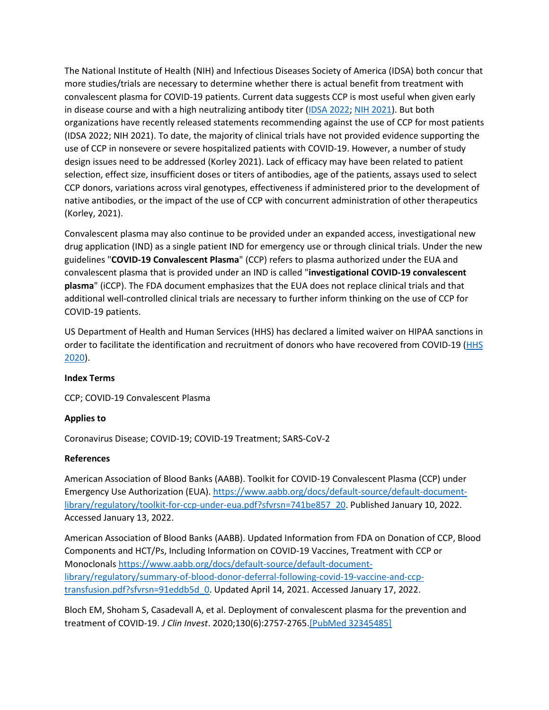The National Institute of Health (NIH) and Infectious Diseases Society of America (IDSA) both concur that more studies/trials are necessary to determine whether there is actual benefit from treatment with convalescent plasma for COVID-19 patients. Current data suggests CCP is most useful when given early in disease course and with a high neutralizing antibody titer [\(IDSA 2022;](https://www.idsociety.org/practice-guideline/covid-19-guideline-treatment-and-management/) [NIH 2021\)](https://www.covid19treatmentguidelines.nih.gov/immune-based-therapy/blood-derived-products/convalescent-plasma/). But both organizations have recently released statements recommending against the use of CCP for most patients (IDSA 2022; NIH 2021). To date, the majority of clinical trials have not provided evidence supporting the use of CCP in nonsevere or severe hospitalized patients with COVID-19. However, a number of study design issues need to be addressed (Korley 2021). Lack of efficacy may have been related to patient selection, effect size, insufficient doses or titers of antibodies, age of the patients, assays used to select CCP donors, variations across viral genotypes, effectiveness if administered prior to the development of native antibodies, or the impact of the use of CCP with concurrent administration of other therapeutics (Korley, 2021).

Convalescent plasma may also continue to be provided under an expanded access, investigational new drug application (IND) as a single patient IND for emergency use or through clinical trials. Under the new guidelines "**COVID-19 Convalescent Plasma**" (CCP) refers to plasma authorized under the EUA and convalescent plasma that is provided under an IND is called "**investigational COVID-19 convalescent plasma**" (iCCP). The FDA document emphasizes that the EUA does not replace clinical trials and that additional well-controlled clinical trials are necessary to further inform thinking on the use of CCP for COVID-19 patients.

US Department of Health and Human Services (HHS) has declared a limited waiver on HIPAA sanctions in order to facilitate the identification and recruitment of donors who have recovered from COVID-19 [\(HHS](https://www.hhs.gov/sites/default/files/guidance-on-hipaa-and-contacting-former-covid-19-patients-about-blood-and-plasma-donation.pdf)  [2020\)](https://www.hhs.gov/sites/default/files/guidance-on-hipaa-and-contacting-former-covid-19-patients-about-blood-and-plasma-donation.pdf).

# **Index Terms**

CCP; COVID-19 Convalescent Plasma

# **Applies to**

Coronavirus Disease; COVID-19; COVID-19 Treatment; SARS-CoV-2

# **References**

American Association of Blood Banks (AABB). Toolkit for COVID-19 Convalescent Plasma (CCP) under Emergency Use Authorization (EUA). [https://www.aabb.org/docs/default-source/default-document](https://www.aabb.org/docs/default-source/default-document-library/regulatory/toolkit-for-ccp-under-eua.pdf?sfvrsn=741be857_38)[library/regulatory/toolkit-for-ccp-under-eua.pdf?sfvrsn=741be857\\_20.](https://www.aabb.org/docs/default-source/default-document-library/regulatory/toolkit-for-ccp-under-eua.pdf?sfvrsn=741be857_38) Published January 10, 2022. Accessed January 13, 2022.

American Association of Blood Banks (AABB). Updated Information from FDA on Donation of CCP, Blood Components and HCT/Ps, Including Information on COVID-19 Vaccines, Treatment with CCP or Monoclonals [https://www.aabb.org/docs/default-source/default-document](https://www.aabb.org/docs/default-source/default-document-library/regulatory/summary-of-blood-donor-deferral-following-covid-19-vaccine-and-ccp-transfusion.pdf?sfvrsn=91eddb5d_0)[library/regulatory/summary-of-blood-donor-deferral-following-covid-19-vaccine-and-ccp](https://www.aabb.org/docs/default-source/default-document-library/regulatory/summary-of-blood-donor-deferral-following-covid-19-vaccine-and-ccp-transfusion.pdf?sfvrsn=91eddb5d_0)[transfusion.pdf?sfvrsn=91eddb5d\\_0.](https://www.aabb.org/docs/default-source/default-document-library/regulatory/summary-of-blood-donor-deferral-following-covid-19-vaccine-and-ccp-transfusion.pdf?sfvrsn=91eddb5d_0) Updated April 14, 2021. Accessed January 17, 2022.

Bloch EM, Shoham S, Casadevall A, et al. Deployment of convalescent plasma for the prevention and treatment of COVID-19. *J Clin Invest*. 2020;130(6):2757-2765[.\[PubMed 32345485\]](https://www.ncbi.nlm.nih.gov/entrez/query.fcgi?cmd=Retrieve&db=pubmed&dopt=Abstract&list_uids=32345485)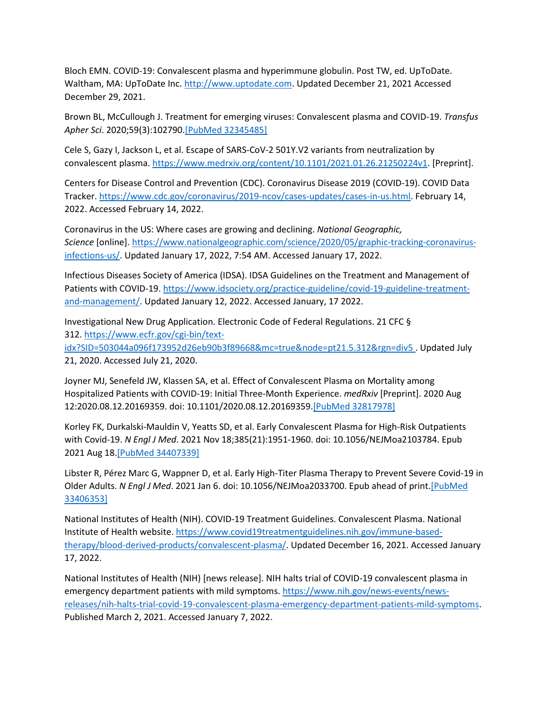Bloch EMN. COVID-19: Convalescent plasma and hyperimmune globulin. Post TW, ed. UpToDate. Waltham, MA: UpToDate Inc. [http://www.uptodate.com.](http://www.uptodate.com/) Updated December 21, 2021 Accessed December 29, 2021.

Brown BL, McCullough J. Treatment for emerging viruses: Convalescent plasma and COVID-19. *Transfus Apher Sci*. 2020;59(3):102790[.\[PubMed 32345485\]](https://www.ncbi.nlm.nih.gov/entrez/query.fcgi?cmd=Retrieve&db=pubmed&dopt=Abstract&list_uids=32345485)

Cele S, Gazy I, Jackson L, et al. Escape of SARS-CoV-2 501Y.V2 variants from neutralization by convalescent plasma. [https://www.medrxiv.org/content/10.1101/2021.01.26.21250224v1.](https://www.medrxiv.org/content/10.1101/2021.01.26.21250224v1) [Preprint].

Centers for Disease Control and Prevention (CDC). Coronavirus Disease 2019 (COVID-19). COVID Data Tracker. [https://www.cdc.gov/coronavirus/2019-ncov/cases-updates/cases-in-us.html.](https://www.cdc.gov/coronavirus/2019-ncov/cases-updates/cases-in-us.html) February 14, 2022. Accessed February 14, 2022.

Coronavirus in the US: Where cases are growing and declining. *National Geographic, Science* [online]. [https://www.nationalgeographic.com/science/2020/05/graphic-tracking-coronavirus](https://www.nationalgeographic.com/science/2020/05/graphic-tracking-coronavirus-infections-us/)[infections-us/.](https://www.nationalgeographic.com/science/2020/05/graphic-tracking-coronavirus-infections-us/) Updated January 17, 2022, 7:54 AM. Accessed January 17, 2022.

Infectious Diseases Society of America (IDSA). IDSA Guidelines on the Treatment and Management of Patients with COVID-19. [https://www.idsociety.org/practice-guideline/covid-19-guideline-treatment](https://www.idsociety.org/practice-guideline/covid-19-guideline-treatment-and-management/)[and-management/.](https://www.idsociety.org/practice-guideline/covid-19-guideline-treatment-and-management/) Updated January 12, 2022. Accessed January, 17 2022.

Investigational New Drug Application. Electronic Code of Federal Regulations. 21 CFC § 312. [https://www.ecfr.gov/cgi-bin/text](https://www.ecfr.gov/cgi-bin/text-idx?SID=503044a096f173952d26eb90b3f89668&mc=true&node=pt21.5.312&rgn=div5%20)[idx?SID=503044a096f173952d26eb90b3f89668&mc=true&node=pt21.5.312&rgn=div5](https://www.ecfr.gov/cgi-bin/text-idx?SID=503044a096f173952d26eb90b3f89668&mc=true&node=pt21.5.312&rgn=div5%20) . Updated July 21, 2020. Accessed July 21, 2020.

Joyner MJ, Senefeld JW, Klassen SA, et al. Effect of Convalescent Plasma on Mortality among Hospitalized Patients with COVID-19: Initial Three-Month Experience. *medRxiv* [Preprint]. 2020 Aug 12:2020.08.12.20169359. doi: 10.1101/2020.08.12.20169359[.\[PubMed 32817978\]](https://www.ncbi.nlm.nih.gov/entrez/query.fcgi?cmd=Retrieve&db=pubmed&dopt=Abstract&list_uids=32817978)

Korley FK, Durkalski-Mauldin V, Yeatts SD, et al. Early Convalescent Plasma for High-Risk Outpatients with Covid-19. *N Engl J Med*. 2021 Nov 18;385(21):1951-1960. doi: 10.1056/NEJMoa2103784. Epub 2021 Aug 18[.\[PubMed 34407339\]](https://www.ncbi.nlm.nih.gov/entrez/query.fcgi?cmd=Retrieve&db=pubmed&dopt=Abstract&list_uids=34407339)

Libster R, Pérez Marc G, Wappner D, et al. Early High-Titer Plasma Therapy to Prevent Severe Covid-19 in Older Adults. *N Engl J Med*. 2021 Jan 6. doi: 10.1056/NEJMoa2033700. Epub ahead of print[.\[PubMed](https://www.ncbi.nlm.nih.gov/entrez/query.fcgi?cmd=Retrieve&db=pubmed&dopt=Abstract&list_uids=33406353)  [33406353\]](https://www.ncbi.nlm.nih.gov/entrez/query.fcgi?cmd=Retrieve&db=pubmed&dopt=Abstract&list_uids=33406353)

National Institutes of Health (NIH). COVID-19 Treatment Guidelines. Convalescent Plasma. National Institute of Health website. [https://www.covid19treatmentguidelines.nih.gov/immune-based](https://www.covid19treatmentguidelines.nih.gov/immune-based-therapy/blood-derived-products/convalescent-plasma/)[therapy/blood-derived-products/convalescent-plasma/.](https://www.covid19treatmentguidelines.nih.gov/immune-based-therapy/blood-derived-products/convalescent-plasma/) Updated December 16, 2021. Accessed January 17, 2022.

National Institutes of Health (NIH) [news release]. NIH halts trial of COVID-19 convalescent plasma in emergency department patients with mild symptoms. [https://www.nih.gov/news-events/news](https://www.nih.gov/news-events/news-releases/nih-halts-trial-covid-19-convalescent-plasma-emergency-department-patients-mild-symptoms)[releases/nih-halts-trial-covid-19-convalescent-plasma-emergency-department-patients-mild-symptoms.](https://www.nih.gov/news-events/news-releases/nih-halts-trial-covid-19-convalescent-plasma-emergency-department-patients-mild-symptoms) Published March 2, 2021. Accessed January 7, 2022.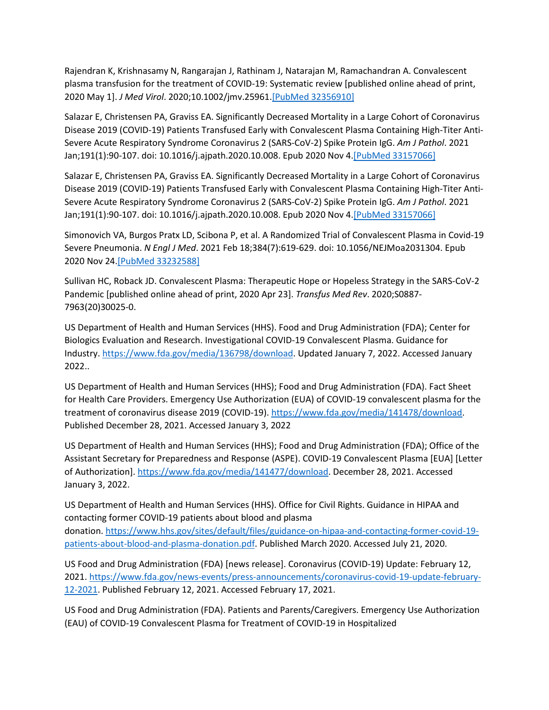Rajendran K, Krishnasamy N, Rangarajan J, Rathinam J, Natarajan M, Ramachandran A. Convalescent plasma transfusion for the treatment of COVID-19: Systematic review [published online ahead of print, 2020 May 1]. *J Med Virol*. 2020;10.1002/jmv.25961[.\[PubMed 32356910\]](https://www.ncbi.nlm.nih.gov/entrez/query.fcgi?cmd=Retrieve&db=pubmed&dopt=Abstract&list_uids=32356910)

Salazar E, Christensen PA, Graviss EA. Significantly Decreased Mortality in a Large Cohort of Coronavirus Disease 2019 (COVID-19) Patients Transfused Early with Convalescent Plasma Containing High-Titer Anti-Severe Acute Respiratory Syndrome Coronavirus 2 (SARS-CoV-2) Spike Protein IgG. *Am J Pathol*. 2021 Jan;191(1):90-107. doi: 10.1016/j.ajpath.2020.10.008. Epub 2020 Nov 4[.\[PubMed 33157066\]](https://www.ncbi.nlm.nih.gov/entrez/query.fcgi?cmd=Retrieve&db=pubmed&dopt=Abstract&list_uids=33157066)

Salazar E, Christensen PA, Graviss EA. Significantly Decreased Mortality in a Large Cohort of Coronavirus Disease 2019 (COVID-19) Patients Transfused Early with Convalescent Plasma Containing High-Titer Anti-Severe Acute Respiratory Syndrome Coronavirus 2 (SARS-CoV-2) Spike Protein IgG. *Am J Pathol*. 2021 Jan;191(1):90-107. doi: 10.1016/j.ajpath.2020.10.008. Epub 2020 Nov 4[.\[PubMed 33157066\]](https://www.ncbi.nlm.nih.gov/entrez/query.fcgi?cmd=Retrieve&db=pubmed&dopt=Abstract&list_uids=33157066)

Simonovich VA, Burgos Pratx LD, Scibona P, et al. A Randomized Trial of Convalescent Plasma in Covid-19 Severe Pneumonia. *N Engl J Med*. 2021 Feb 18;384(7):619-629. doi: 10.1056/NEJMoa2031304. Epub 2020 Nov 24[.\[PubMed 33232588\]](https://www.ncbi.nlm.nih.gov/entrez/query.fcgi?cmd=Retrieve&db=pubmed&dopt=Abstract&list_uids=33232588)

Sullivan HC, Roback JD. Convalescent Plasma: Therapeutic Hope or Hopeless Strategy in the SARS-CoV-2 Pandemic [published online ahead of print, 2020 Apr 23]. *Transfus Med Rev*. 2020;S0887- 7963(20)30025-0.

US Department of Health and Human Services (HHS). Food and Drug Administration (FDA); Center for Biologics Evaluation and Research. Investigational COVID-19 Convalescent Plasma. Guidance for Industry. [https://www.fda.gov/media/136798/download.](https://www.fda.gov/media/136798/download) Updated January 7, 2022. Accessed January 2022..

US Department of Health and Human Services (HHS); Food and Drug Administration (FDA). Fact Sheet for Health Care Providers. Emergency Use Authorization (EUA) of COVID-19 convalescent plasma for the treatment of coronavirus disease 2019 (COVID-19). [https://www.fda.gov/media/141478/download.](https://www.fda.gov/media/141478/download) Published December 28, 2021. Accessed January 3, 2022

US Department of Health and Human Services (HHS); Food and Drug Administration (FDA); Office of the Assistant Secretary for Preparedness and Response (ASPE). COVID-19 Convalescent Plasma [EUA] [Letter of Authorization]. [https://www.fda.gov/media/141477/download.](https://www.fda.gov/media/141477/download) December 28, 2021. Accessed January 3, 2022.

US Department of Health and Human Services (HHS). Office for Civil Rights. Guidance in HIPAA and contacting former COVID-19 patients about blood and plasma donation. [https://www.hhs.gov/sites/default/files/guidance-on-hipaa-and-contacting-former-covid-19](https://www.hhs.gov/sites/default/files/guidance-on-hipaa-and-contacting-former-covid-19-patients-about-blood-and-plasma-donation.pdf) [patients-about-blood-and-plasma-donation.pdf.](https://www.hhs.gov/sites/default/files/guidance-on-hipaa-and-contacting-former-covid-19-patients-about-blood-and-plasma-donation.pdf) Published March 2020. Accessed July 21, 2020.

US Food and Drug Administration (FDA) [news release]. Coronavirus (COVID-19) Update: February 12, 2021. [https://www.fda.gov/news-events/press-announcements/coronavirus-covid-19-update-february-](https://www.fda.gov/news-events/press-announcements/coronavirus-covid-19-update-february-12-2021)[12-2021.](https://www.fda.gov/news-events/press-announcements/coronavirus-covid-19-update-february-12-2021) Published February 12, 2021. Accessed February 17, 2021.

US Food and Drug Administration (FDA). Patients and Parents/Caregivers. Emergency Use Authorization (EAU) of COVID-19 Convalescent Plasma for Treatment of COVID-19 in Hospitalized